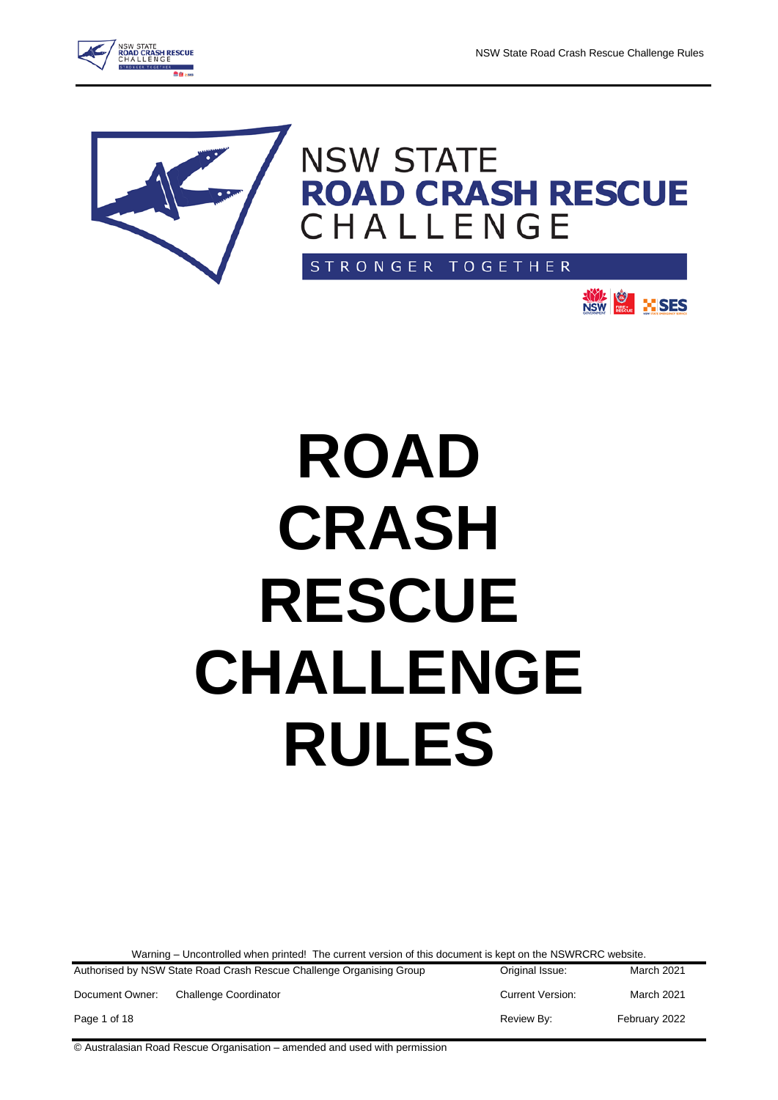





**NSW REG.** HISES

# **ROAD CRASH RESCUE CHALLENGE RULES**

Warning – Uncontrolled when printed! The current version of this document is kept on the NSWRCRC website.

| Authorised by NSW State Road Crash Rescue Challenge Organising Group |                       | Original Issue:         | March 2021    |
|----------------------------------------------------------------------|-----------------------|-------------------------|---------------|
| Document Owner:                                                      | Challenge Coordinator | <b>Current Version:</b> | March 2021    |
| Page 1 of 18                                                         |                       | Review By:              | February 2022 |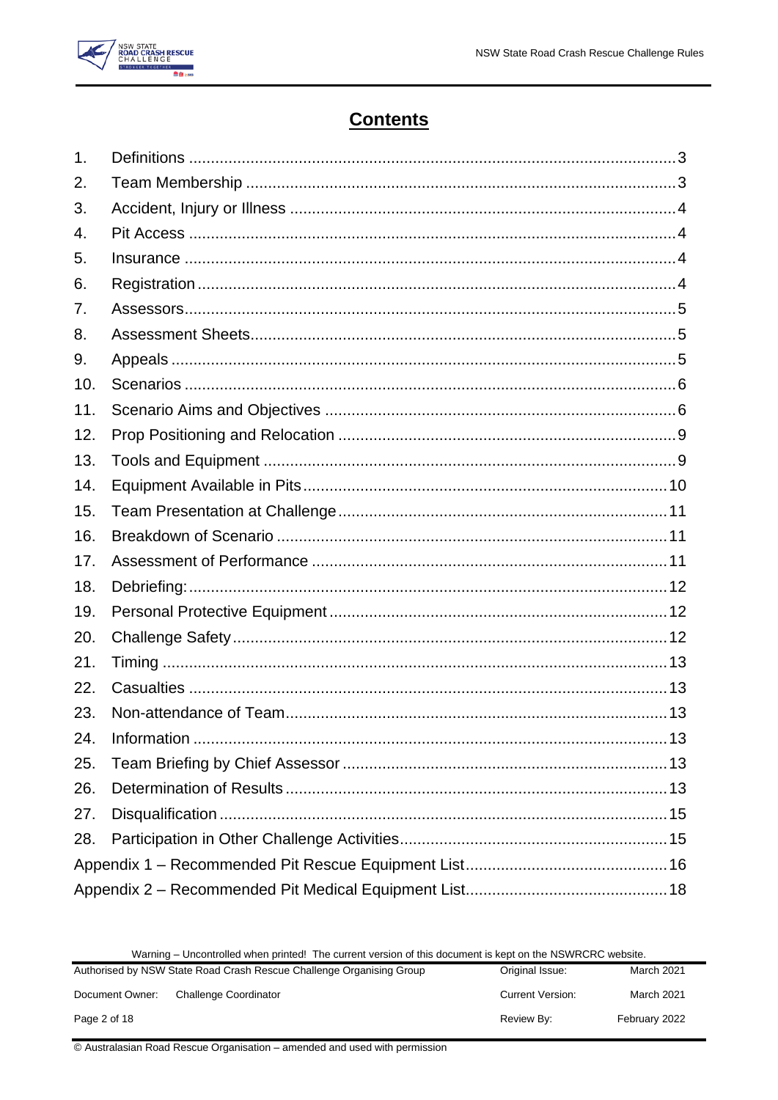

# **Contents**

| 1.  |  |
|-----|--|
| 2.  |  |
| 3.  |  |
| 4.  |  |
| 5.  |  |
| 6.  |  |
| 7.  |  |
| 8.  |  |
| 9.  |  |
| 10. |  |
| 11. |  |
| 12. |  |
| 13. |  |
| 14. |  |
| 15. |  |
| 16. |  |
| 17. |  |
| 18. |  |
| 19. |  |
| 20. |  |
| 21. |  |
| 22. |  |
| 23. |  |
| 24. |  |
| 25. |  |
| 26. |  |
| 27. |  |
| 28. |  |
|     |  |
|     |  |

|  | Warning – Uncontrolled when printed! The current version of this document is kept on the NSWRCRC website. |
|--|-----------------------------------------------------------------------------------------------------------|
|--|-----------------------------------------------------------------------------------------------------------|

| Authorised by NSW State Road Crash Rescue Challenge Organising Group |                              | Original Issue:         | March 2021    |
|----------------------------------------------------------------------|------------------------------|-------------------------|---------------|
| Document Owner:                                                      | <b>Challenge Coordinator</b> | <b>Current Version:</b> | March 2021    |
| Page 2 of 18                                                         |                              | Review By:              | February 2022 |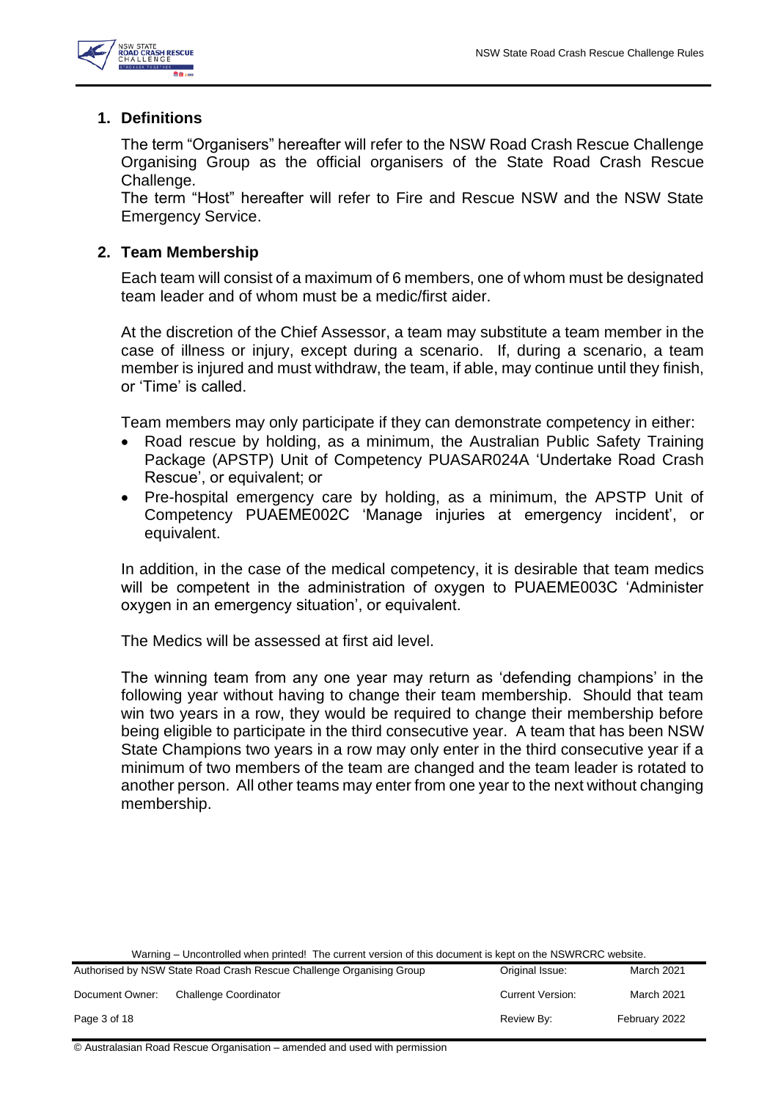

#### <span id="page-2-0"></span>**1. Definitions**

The term "Organisers" hereafter will refer to the NSW Road Crash Rescue Challenge Organising Group as the official organisers of the State Road Crash Rescue Challenge.

The term "Host" hereafter will refer to Fire and Rescue NSW and the NSW State Emergency Service.

#### <span id="page-2-1"></span>**2. Team Membership**

Each team will consist of a maximum of 6 members, one of whom must be designated team leader and of whom must be a medic/first aider.

At the discretion of the Chief Assessor, a team may substitute a team member in the case of illness or injury, except during a scenario. If, during a scenario, a team member is injured and must withdraw, the team, if able, may continue until they finish, or 'Time' is called.

Team members may only participate if they can demonstrate competency in either:

- Road rescue by holding, as a minimum, the Australian Public Safety Training Package (APSTP) Unit of Competency PUASAR024A 'Undertake Road Crash Rescue', or equivalent; or
- Pre-hospital emergency care by holding, as a minimum, the APSTP Unit of Competency PUAEME002C 'Manage injuries at emergency incident', or equivalent.

In addition, in the case of the medical competency, it is desirable that team medics will be competent in the administration of oxygen to PUAEME003C 'Administer oxygen in an emergency situation', or equivalent.

The Medics will be assessed at first aid level.

The winning team from any one year may return as 'defending champions' in the following year without having to change their team membership. Should that team win two years in a row, they would be required to change their membership before being eligible to participate in the third consecutive year. A team that has been NSW State Champions two years in a row may only enter in the third consecutive year if a minimum of two members of the team are changed and the team leader is rotated to another person. All other teams may enter from one year to the next without changing membership.

Warning – Uncontrolled when printed! The current version of this document is kept on the NSWRCRC website.

|                 | Authorised by NSW State Road Crash Rescue Challenge Organising Group | Original Issue:         | March 2021        |
|-----------------|----------------------------------------------------------------------|-------------------------|-------------------|
| Document Owner: | <b>Challenge Coordinator</b>                                         | <b>Current Version:</b> | <b>March 2021</b> |
| Page 3 of 18    |                                                                      | Review By:              | February 2022     |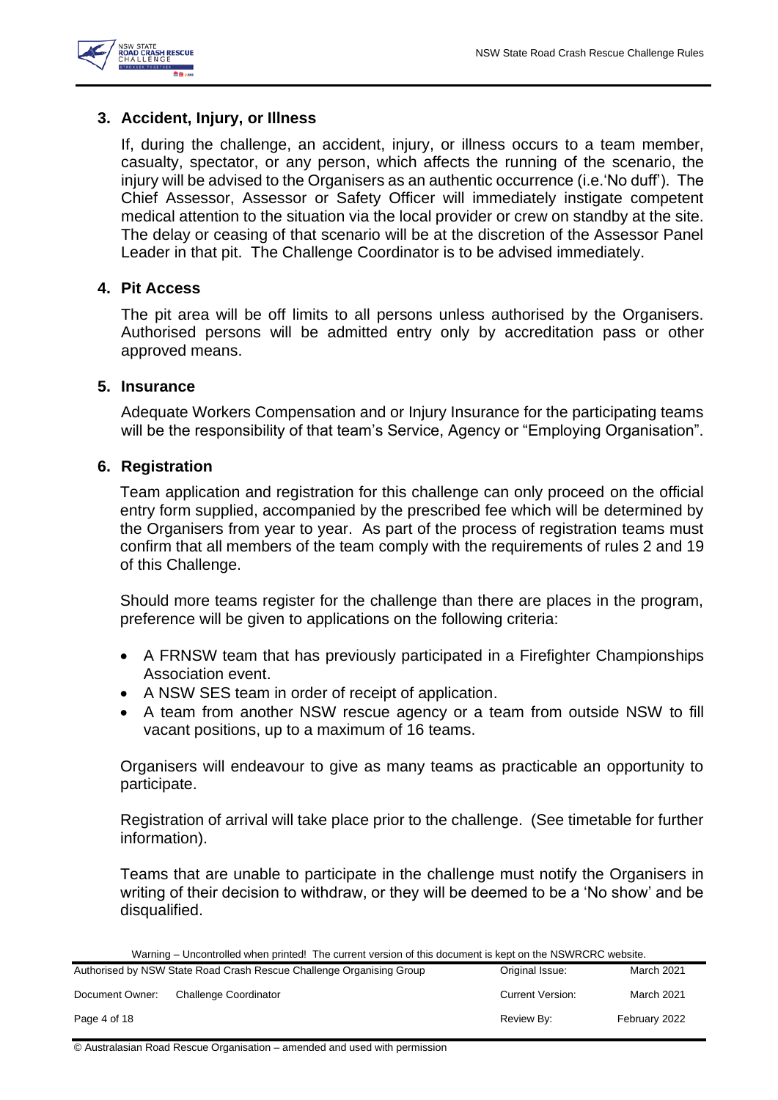

#### <span id="page-3-0"></span>**3. Accident, Injury, or Illness**

If, during the challenge, an accident, injury, or illness occurs to a team member, casualty, spectator, or any person, which affects the running of the scenario, the injury will be advised to the Organisers as an authentic occurrence (i.e.'No duff'). The Chief Assessor, Assessor or Safety Officer will immediately instigate competent medical attention to the situation via the local provider or crew on standby at the site. The delay or ceasing of that scenario will be at the discretion of the Assessor Panel Leader in that pit. The Challenge Coordinator is to be advised immediately.

#### <span id="page-3-1"></span>**4. Pit Access**

The pit area will be off limits to all persons unless authorised by the Organisers. Authorised persons will be admitted entry only by accreditation pass or other approved means.

#### <span id="page-3-2"></span>**5. Insurance**

Adequate Workers Compensation and or Injury Insurance for the participating teams will be the responsibility of that team's Service, Agency or "Employing Organisation".

#### <span id="page-3-3"></span>**6. Registration**

Team application and registration for this challenge can only proceed on the official entry form supplied, accompanied by the prescribed fee which will be determined by the Organisers from year to year. As part of the process of registration teams must confirm that all members of the team comply with the requirements of rules 2 and 19 of this Challenge.

Should more teams register for the challenge than there are places in the program, preference will be given to applications on the following criteria:

- A FRNSW team that has previously participated in a Firefighter Championships Association event.
- A NSW SES team in order of receipt of application.
- A team from another NSW rescue agency or a team from outside NSW to fill vacant positions, up to a maximum of 16 teams.

Organisers will endeavour to give as many teams as practicable an opportunity to participate.

Registration of arrival will take place prior to the challenge. (See timetable for further information).

Teams that are unable to participate in the challenge must notify the Organisers in writing of their decision to withdraw, or they will be deemed to be a 'No show' and be disqualified.

Warning – Uncontrolled when printed! The current version of this document is kept on the NSWRCRC website.

|                 | Authorised by NSW State Road Crash Rescue Challenge Organising Group | Original Issue:         | March 2021    |
|-----------------|----------------------------------------------------------------------|-------------------------|---------------|
| Document Owner: | <b>Challenge Coordinator</b>                                         | <b>Current Version:</b> | March 2021    |
| Page 4 of 18    |                                                                      | Review By:              | February 2022 |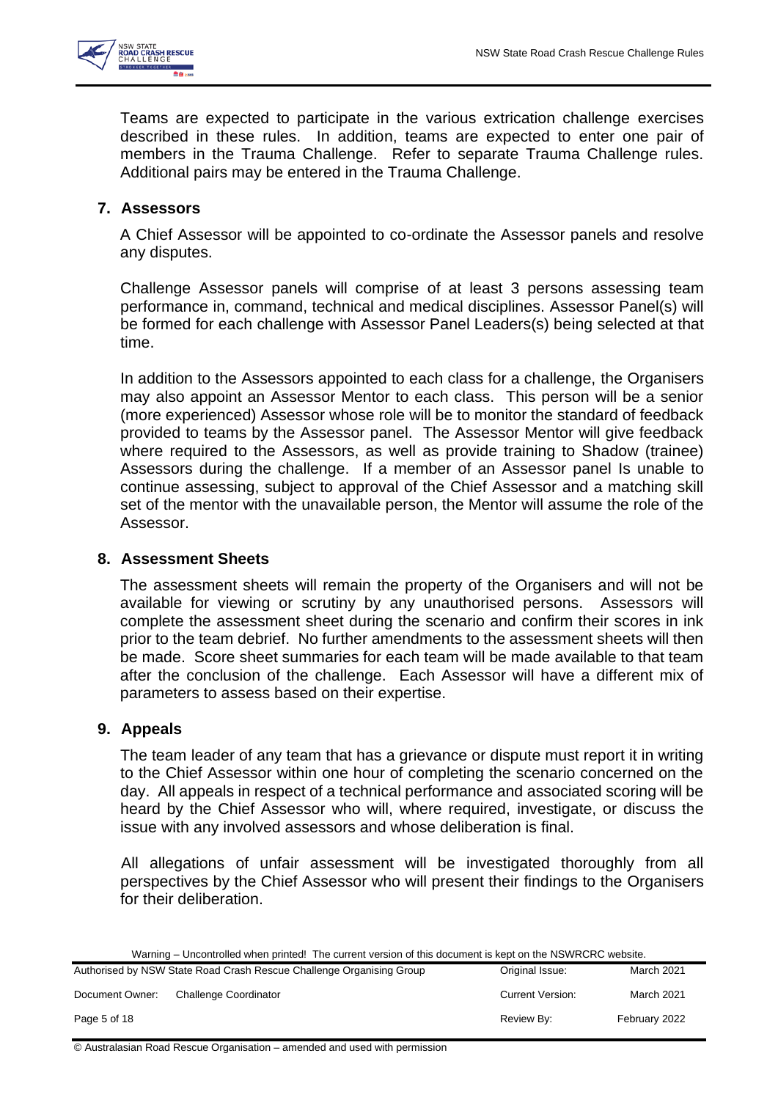

Teams are expected to participate in the various extrication challenge exercises described in these rules. In addition, teams are expected to enter one pair of members in the Trauma Challenge. Refer to separate Trauma Challenge rules. Additional pairs may be entered in the Trauma Challenge.

# <span id="page-4-0"></span>**7. Assessors**

A Chief Assessor will be appointed to co-ordinate the Assessor panels and resolve any disputes.

Challenge Assessor panels will comprise of at least 3 persons assessing team performance in, command, technical and medical disciplines. Assessor Panel(s) will be formed for each challenge with Assessor Panel Leaders(s) being selected at that time.

In addition to the Assessors appointed to each class for a challenge, the Organisers may also appoint an Assessor Mentor to each class. This person will be a senior (more experienced) Assessor whose role will be to monitor the standard of feedback provided to teams by the Assessor panel. The Assessor Mentor will give feedback where required to the Assessors, as well as provide training to Shadow (trainee) Assessors during the challenge. If a member of an Assessor panel Is unable to continue assessing, subject to approval of the Chief Assessor and a matching skill set of the mentor with the unavailable person, the Mentor will assume the role of the Assessor.

# <span id="page-4-1"></span>**8. Assessment Sheets**

The assessment sheets will remain the property of the Organisers and will not be available for viewing or scrutiny by any unauthorised persons. Assessors will complete the assessment sheet during the scenario and confirm their scores in ink prior to the team debrief. No further amendments to the assessment sheets will then be made. Score sheet summaries for each team will be made available to that team after the conclusion of the challenge. Each Assessor will have a different mix of parameters to assess based on their expertise.

# <span id="page-4-2"></span>**9. Appeals**

The team leader of any team that has a grievance or dispute must report it in writing to the Chief Assessor within one hour of completing the scenario concerned on the day. All appeals in respect of a technical performance and associated scoring will be heard by the Chief Assessor who will, where required, investigate, or discuss the issue with any involved assessors and whose deliberation is final.

All allegations of unfair assessment will be investigated thoroughly from all perspectives by the Chief Assessor who will present their findings to the Organisers for their deliberation.

Warning – Uncontrolled when printed! The current version of this document is kept on the NSWRCRC website.

|                 | Authorised by NSW State Road Crash Rescue Challenge Organising Group | Original Issue:         | <b>March 2021</b> |
|-----------------|----------------------------------------------------------------------|-------------------------|-------------------|
| Document Owner: | <b>Challenge Coordinator</b>                                         | <b>Current Version:</b> | <b>March 2021</b> |
| Page 5 of 18    |                                                                      | Review By:              | February 2022     |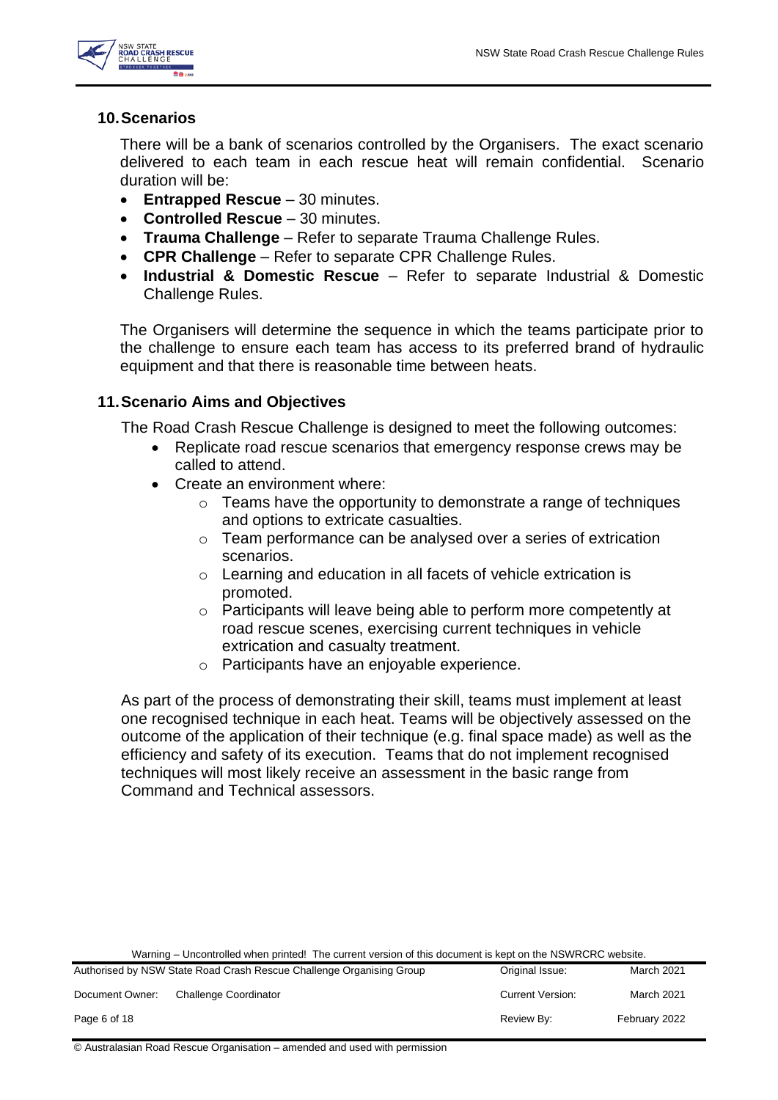

#### <span id="page-5-0"></span>**10.Scenarios**

There will be a bank of scenarios controlled by the Organisers. The exact scenario delivered to each team in each rescue heat will remain confidential. Scenario duration will be:

- **Entrapped Rescue**  30 minutes.
- **Controlled Rescue**  30 minutes.
- **Trauma Challenge** Refer to separate Trauma Challenge Rules.
- **CPR Challenge**  Refer to separate CPR Challenge Rules.
- **Industrial & Domestic Rescue**  Refer to separate Industrial & Domestic Challenge Rules.

The Organisers will determine the sequence in which the teams participate prior to the challenge to ensure each team has access to its preferred brand of hydraulic equipment and that there is reasonable time between heats.

# <span id="page-5-1"></span>**11.Scenario Aims and Objectives**

The Road Crash Rescue Challenge is designed to meet the following outcomes:

- Replicate road rescue scenarios that emergency response crews may be called to attend.
- Create an environment where:
	- $\circ$  Teams have the opportunity to demonstrate a range of techniques and options to extricate casualties.
	- o Team performance can be analysed over a series of extrication scenarios.
	- o Learning and education in all facets of vehicle extrication is promoted.
	- o Participants will leave being able to perform more competently at road rescue scenes, exercising current techniques in vehicle extrication and casualty treatment.
	- o Participants have an enjoyable experience.

As part of the process of demonstrating their skill, teams must implement at least one recognised technique in each heat. Teams will be objectively assessed on the outcome of the application of their technique (e.g. final space made) as well as the efficiency and safety of its execution. Teams that do not implement recognised techniques will most likely receive an assessment in the basic range from Command and Technical assessors.

Warning – Uncontrolled when printed! The current version of this document is kept on the NSWRCRC website.

|                 | Authorised by NSW State Road Crash Rescue Challenge Organising Group | Original Issue:         | March 2021        |
|-----------------|----------------------------------------------------------------------|-------------------------|-------------------|
| Document Owner: | <b>Challenge Coordinator</b>                                         | <b>Current Version:</b> | <b>March 2021</b> |
| Page 6 of 18    |                                                                      | Review By:              | February 2022     |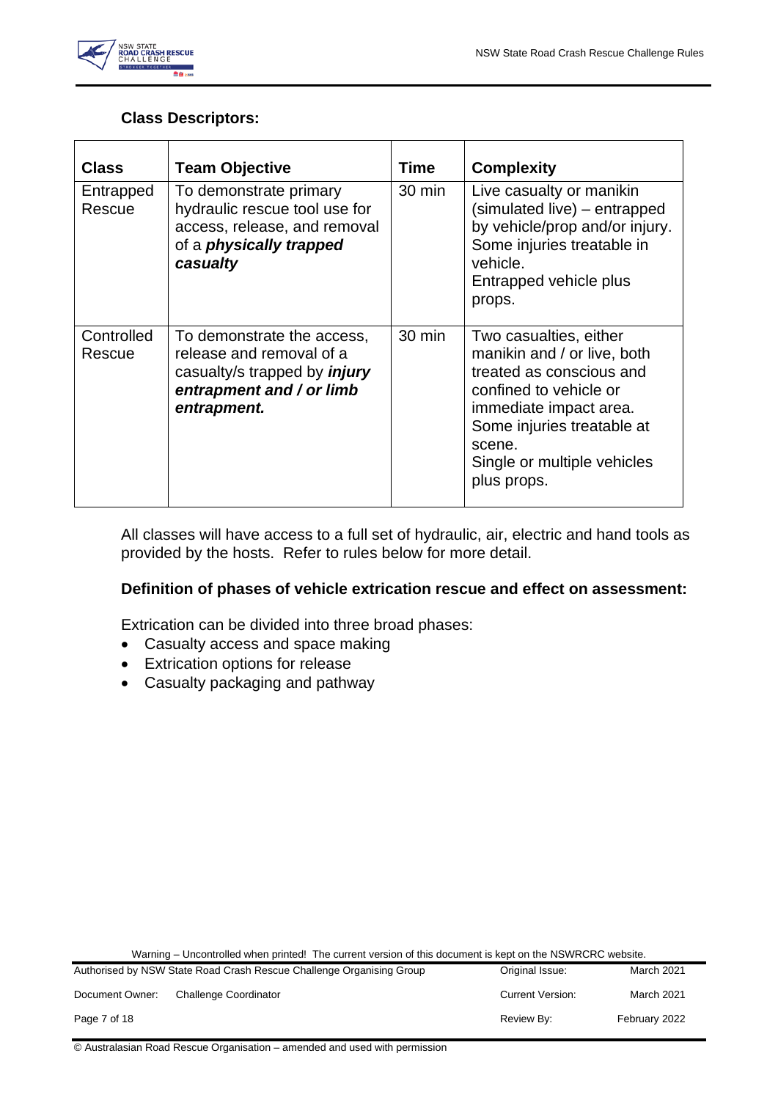

# **Class Descriptors:**

| <b>Class</b>         | <b>Team Objective</b>                                                                                                                    | Time   | <b>Complexity</b>                                                                                                                                                                                                           |
|----------------------|------------------------------------------------------------------------------------------------------------------------------------------|--------|-----------------------------------------------------------------------------------------------------------------------------------------------------------------------------------------------------------------------------|
| Entrapped<br>Rescue  | To demonstrate primary<br>hydraulic rescue tool use for<br>access, release, and removal<br>of a <i>physically trapped</i><br>casualty    | 30 min | Live casualty or manikin<br>(simulated live) - entrapped<br>by vehicle/prop and/or injury.<br>Some injuries treatable in<br>vehicle.<br>Entrapped vehicle plus<br>props.                                                    |
| Controlled<br>Rescue | To demonstrate the access,<br>release and removal of a<br>casualty/s trapped by <i>injury</i><br>entrapment and / or limb<br>entrapment. | 30 min | Two casualties, either<br>manikin and / or live, both<br>treated as conscious and<br>confined to vehicle or<br>immediate impact area.<br>Some injuries treatable at<br>scene.<br>Single or multiple vehicles<br>plus props. |

All classes will have access to a full set of hydraulic, air, electric and hand tools as provided by the hosts. Refer to rules below for more detail.

#### **Definition of phases of vehicle extrication rescue and effect on assessment:**

Extrication can be divided into three broad phases:

- Casualty access and space making
- Extrication options for release
- Casualty packaging and pathway

Warning – Uncontrolled when printed! The current version of this document is kept on the NSWRCRC website.

|                 | Authorised by NSW State Road Crash Rescue Challenge Organising Group | Original Issue:         | <b>March 2021</b> |
|-----------------|----------------------------------------------------------------------|-------------------------|-------------------|
| Document Owner: | <b>Challenge Coordinator</b>                                         | <b>Current Version:</b> | <b>March 2021</b> |
| Page 7 of 18    |                                                                      | Review By:              | February 2022     |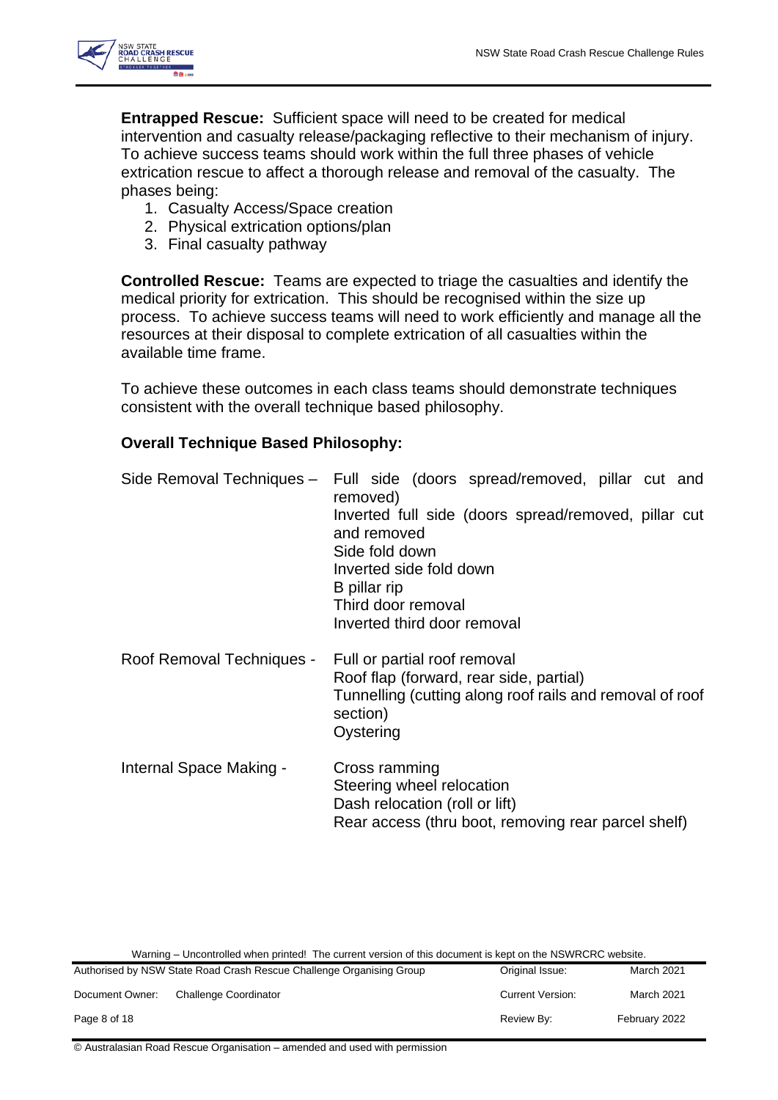

**Entrapped Rescue:** Sufficient space will need to be created for medical intervention and casualty release/packaging reflective to their mechanism of injury. To achieve success teams should work within the full three phases of vehicle extrication rescue to affect a thorough release and removal of the casualty. The phases being:

- 1. Casualty Access/Space creation
- 2. Physical extrication options/plan
- 3. Final casualty pathway

**Controlled Rescue:** Teams are expected to triage the casualties and identify the medical priority for extrication. This should be recognised within the size up process. To achieve success teams will need to work efficiently and manage all the resources at their disposal to complete extrication of all casualties within the available time frame.

To achieve these outcomes in each class teams should demonstrate techniques consistent with the overall technique based philosophy.

# **Overall Technique Based Philosophy:**

|                           | Side Removal Techniques - Full side (doors spread/removed, pillar cut and<br>removed)<br>Inverted full side (doors spread/removed, pillar cut<br>and removed<br>Side fold down<br>Inverted side fold down<br>B pillar rip<br>Third door removal<br>Inverted third door removal |
|---------------------------|--------------------------------------------------------------------------------------------------------------------------------------------------------------------------------------------------------------------------------------------------------------------------------|
| Roof Removal Techniques - | Full or partial roof removal<br>Roof flap (forward, rear side, partial)<br>Tunnelling (cutting along roof rails and removal of roof<br>section)<br>Oystering                                                                                                                   |
| Internal Space Making -   | Cross ramming<br>Steering wheel relocation<br>Dash relocation (roll or lift)<br>Rear access (thru boot, removing rear parcel shelf)                                                                                                                                            |

Warning – Uncontrolled when printed! The current version of this document is kept on the NSWRCRC website.

| Authorised by NSW State Road Crash Rescue Challenge Organising Group |                       | Original Issue:         | March 2021    |
|----------------------------------------------------------------------|-----------------------|-------------------------|---------------|
| Document Owner:                                                      | Challenge Coordinator | <b>Current Version:</b> | March 2021    |
| Page 8 of 18                                                         |                       | Review By:              | February 2022 |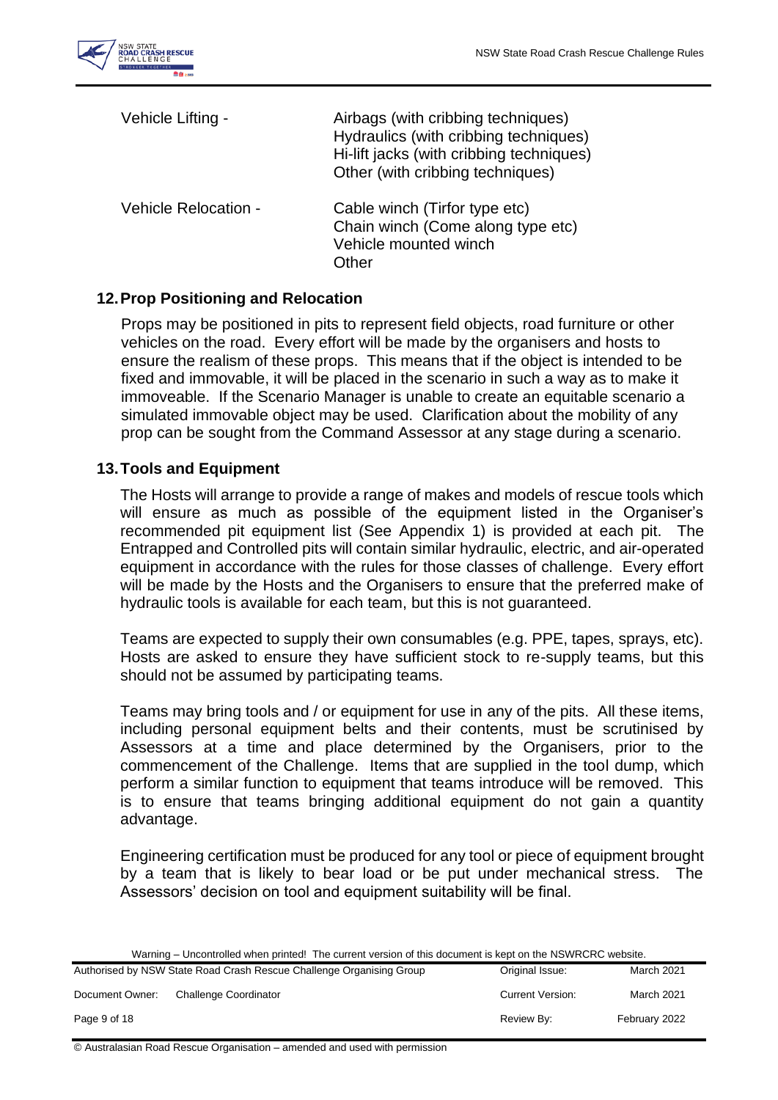

| Vehicle Lifting -    | Airbags (with cribbing techniques)<br>Hydraulics (with cribbing techniques)<br>Hi-lift jacks (with cribbing techniques)<br>Other (with cribbing techniques) |
|----------------------|-------------------------------------------------------------------------------------------------------------------------------------------------------------|
| Vehicle Relocation - | Cable winch (Tirfor type etc)<br>Chain winch (Come along type etc)<br>Vehicle mounted winch<br>Other                                                        |

# <span id="page-8-0"></span>**12.Prop Positioning and Relocation**

Props may be positioned in pits to represent field objects, road furniture or other vehicles on the road. Every effort will be made by the organisers and hosts to ensure the realism of these props. This means that if the object is intended to be fixed and immovable, it will be placed in the scenario in such a way as to make it immoveable. If the Scenario Manager is unable to create an equitable scenario a simulated immovable object may be used. Clarification about the mobility of any prop can be sought from the Command Assessor at any stage during a scenario.

#### <span id="page-8-1"></span>**13.Tools and Equipment**

The Hosts will arrange to provide a range of makes and models of rescue tools which will ensure as much as possible of the equipment listed in the Organiser's recommended pit equipment list (See Appendix 1) is provided at each pit. The Entrapped and Controlled pits will contain similar hydraulic, electric, and air-operated equipment in accordance with the rules for those classes of challenge. Every effort will be made by the Hosts and the Organisers to ensure that the preferred make of hydraulic tools is available for each team, but this is not guaranteed.

Teams are expected to supply their own consumables (e.g. PPE, tapes, sprays, etc). Hosts are asked to ensure they have sufficient stock to re-supply teams, but this should not be assumed by participating teams.

Teams may bring tools and / or equipment for use in any of the pits. All these items, including personal equipment belts and their contents, must be scrutinised by Assessors at a time and place determined by the Organisers, prior to the commencement of the Challenge. Items that are supplied in the tool dump, which perform a similar function to equipment that teams introduce will be removed. This is to ensure that teams bringing additional equipment do not gain a quantity advantage.

Engineering certification must be produced for any tool or piece of equipment brought by a team that is likely to bear load or be put under mechanical stress. The Assessors' decision on tool and equipment suitability will be final.

|                 | Authorised by NSW State Road Crash Rescue Challenge Organising Group | Original Issue:         | March 2021    |
|-----------------|----------------------------------------------------------------------|-------------------------|---------------|
| Document Owner: | <b>Challenge Coordinator</b>                                         | <b>Current Version:</b> | March 2021    |
| Page 9 of 18    |                                                                      | Review By:              | February 2022 |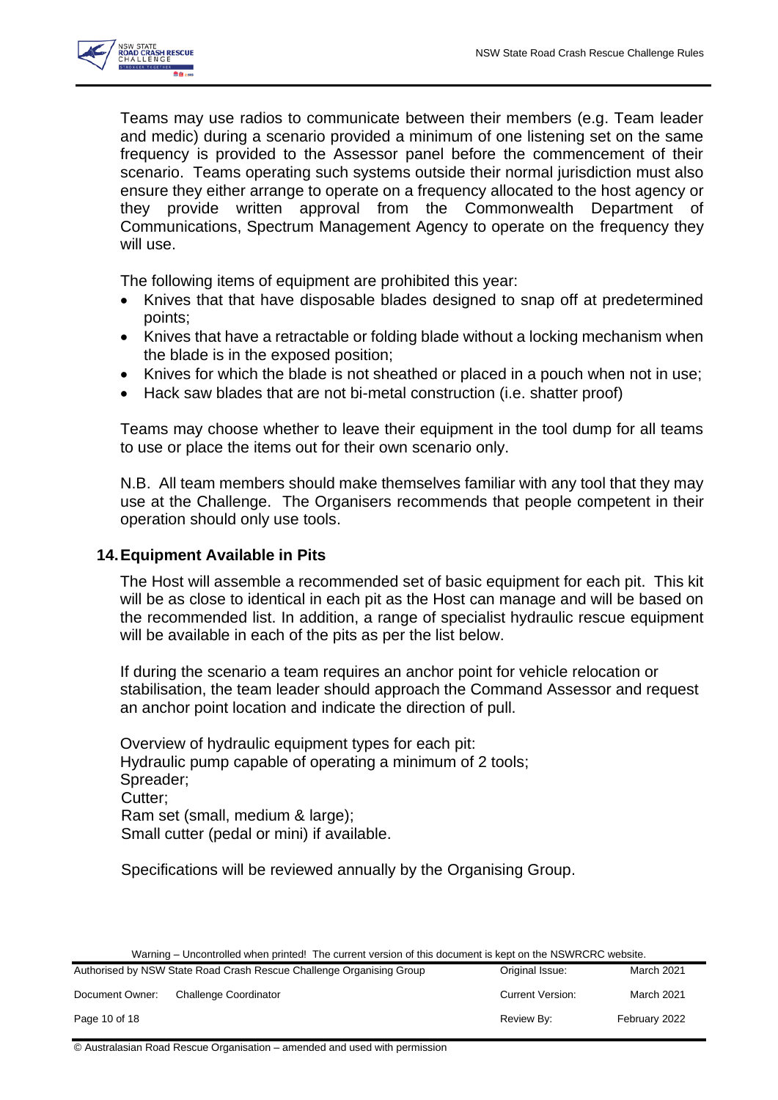

Teams may use radios to communicate between their members (e.g. Team leader and medic) during a scenario provided a minimum of one listening set on the same frequency is provided to the Assessor panel before the commencement of their scenario. Teams operating such systems outside their normal jurisdiction must also ensure they either arrange to operate on a frequency allocated to the host agency or they provide written approval from the Commonwealth Department of Communications, Spectrum Management Agency to operate on the frequency they will use.

The following items of equipment are prohibited this year:

- Knives that that have disposable blades designed to snap off at predetermined points;
- Knives that have a retractable or folding blade without a locking mechanism when the blade is in the exposed position;
- Knives for which the blade is not sheathed or placed in a pouch when not in use;
- Hack saw blades that are not bi-metal construction (i.e. shatter proof)

Teams may choose whether to leave their equipment in the tool dump for all teams to use or place the items out for their own scenario only.

N.B. All team members should make themselves familiar with any tool that they may use at the Challenge. The Organisers recommends that people competent in their operation should only use tools.

#### <span id="page-9-0"></span>**14.Equipment Available in Pits**

The Host will assemble a recommended set of basic equipment for each pit. This kit will be as close to identical in each pit as the Host can manage and will be based on the recommended list. In addition, a range of specialist hydraulic rescue equipment will be available in each of the pits as per the list below.

If during the scenario a team requires an anchor point for vehicle relocation or stabilisation, the team leader should approach the Command Assessor and request an anchor point location and indicate the direction of pull.

Overview of hydraulic equipment types for each pit: Hydraulic pump capable of operating a minimum of 2 tools; Spreader; Cutter; Ram set (small, medium & large); Small cutter (pedal or mini) if available.

Specifications will be reviewed annually by the Organising Group.

|                 | Authorised by NSW State Road Crash Rescue Challenge Organising Group | Original Issue:         | <b>March 2021</b> |
|-----------------|----------------------------------------------------------------------|-------------------------|-------------------|
| Document Owner: | Challenge Coordinator                                                | <b>Current Version:</b> | <b>March 2021</b> |
| Page 10 of 18   |                                                                      | Review By:              | February 2022     |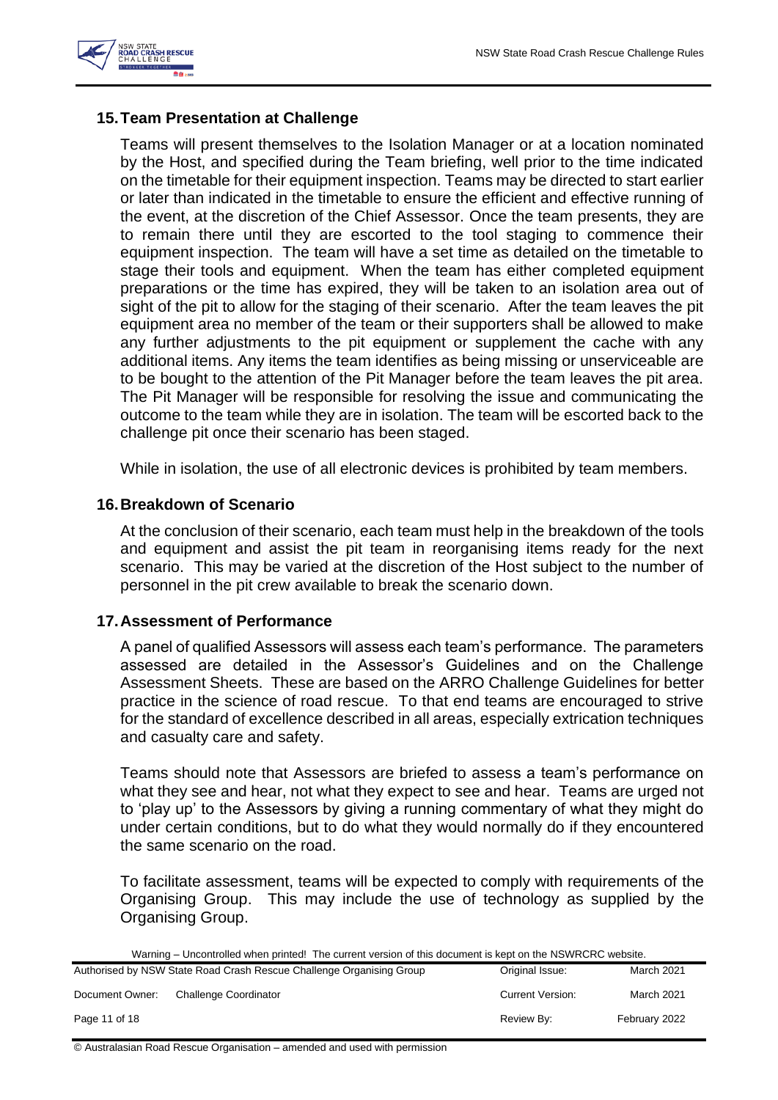

# <span id="page-10-0"></span>**15.Team Presentation at Challenge**

Teams will present themselves to the Isolation Manager or at a location nominated by the Host, and specified during the Team briefing, well prior to the time indicated on the timetable for their equipment inspection. Teams may be directed to start earlier or later than indicated in the timetable to ensure the efficient and effective running of the event, at the discretion of the Chief Assessor. Once the team presents, they are to remain there until they are escorted to the tool staging to commence their equipment inspection. The team will have a set time as detailed on the timetable to stage their tools and equipment. When the team has either completed equipment preparations or the time has expired, they will be taken to an isolation area out of sight of the pit to allow for the staging of their scenario. After the team leaves the pit equipment area no member of the team or their supporters shall be allowed to make any further adjustments to the pit equipment or supplement the cache with any additional items. Any items the team identifies as being missing or unserviceable are to be bought to the attention of the Pit Manager before the team leaves the pit area. The Pit Manager will be responsible for resolving the issue and communicating the outcome to the team while they are in isolation. The team will be escorted back to the challenge pit once their scenario has been staged.

While in isolation, the use of all electronic devices is prohibited by team members.

#### <span id="page-10-1"></span>**16.Breakdown of Scenario**

At the conclusion of their scenario, each team must help in the breakdown of the tools and equipment and assist the pit team in reorganising items ready for the next scenario. This may be varied at the discretion of the Host subject to the number of personnel in the pit crew available to break the scenario down.

#### <span id="page-10-2"></span>**17.Assessment of Performance**

A panel of qualified Assessors will assess each team's performance. The parameters assessed are detailed in the Assessor's Guidelines and on the Challenge Assessment Sheets. These are based on the ARRO Challenge Guidelines for better practice in the science of road rescue. To that end teams are encouraged to strive for the standard of excellence described in all areas, especially extrication techniques and casualty care and safety.

Teams should note that Assessors are briefed to assess a team's performance on what they see and hear, not what they expect to see and hear. Teams are urged not to 'play up' to the Assessors by giving a running commentary of what they might do under certain conditions, but to do what they would normally do if they encountered the same scenario on the road.

To facilitate assessment, teams will be expected to comply with requirements of the Organising Group. This may include the use of technology as supplied by the Organising Group.

Warning – Uncontrolled when printed! The current version of this document is kept on the NSWRCRC website.

|                 | Authorised by NSW State Road Crash Rescue Challenge Organising Group | Original Issue:         | March 2021    |
|-----------------|----------------------------------------------------------------------|-------------------------|---------------|
| Document Owner: | <b>Challenge Coordinator</b>                                         | <b>Current Version:</b> | March 2021    |
| Page 11 of 18   |                                                                      | Review By:              | February 2022 |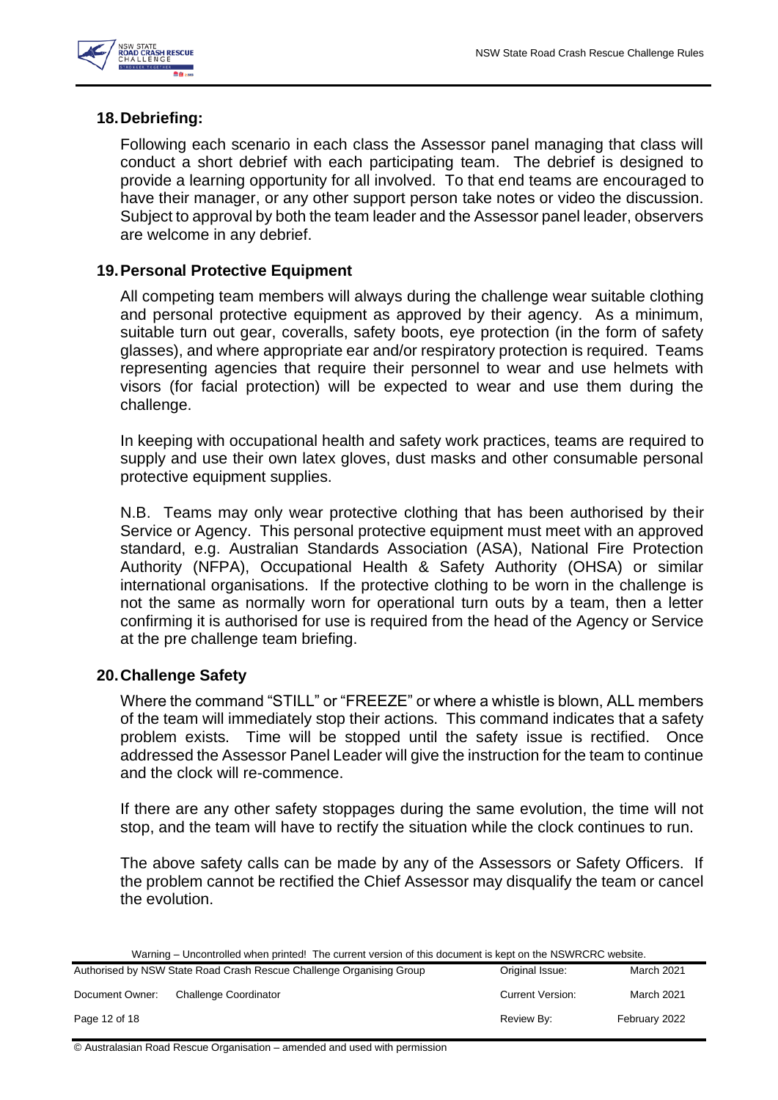

# <span id="page-11-0"></span>**18.Debriefing:**

Following each scenario in each class the Assessor panel managing that class will conduct a short debrief with each participating team. The debrief is designed to provide a learning opportunity for all involved. To that end teams are encouraged to have their manager, or any other support person take notes or video the discussion. Subject to approval by both the team leader and the Assessor panel leader, observers are welcome in any debrief.

# <span id="page-11-1"></span>**19.Personal Protective Equipment**

All competing team members will always during the challenge wear suitable clothing and personal protective equipment as approved by their agency. As a minimum, suitable turn out gear, coveralls, safety boots, eye protection (in the form of safety glasses), and where appropriate ear and/or respiratory protection is required. Teams representing agencies that require their personnel to wear and use helmets with visors (for facial protection) will be expected to wear and use them during the challenge.

In keeping with occupational health and safety work practices, teams are required to supply and use their own latex gloves, dust masks and other consumable personal protective equipment supplies.

N.B. Teams may only wear protective clothing that has been authorised by their Service or Agency. This personal protective equipment must meet with an approved standard, e.g. Australian Standards Association (ASA), National Fire Protection Authority (NFPA), Occupational Health & Safety Authority (OHSA) or similar international organisations. If the protective clothing to be worn in the challenge is not the same as normally worn for operational turn outs by a team, then a letter confirming it is authorised for use is required from the head of the Agency or Service at the pre challenge team briefing.

# <span id="page-11-2"></span>**20.Challenge Safety**

Where the command "STILL" or "FREEZE" or where a whistle is blown, ALL members of the team will immediately stop their actions. This command indicates that a safety problem exists. Time will be stopped until the safety issue is rectified. Once addressed the Assessor Panel Leader will give the instruction for the team to continue and the clock will re-commence.

If there are any other safety stoppages during the same evolution, the time will not stop, and the team will have to rectify the situation while the clock continues to run.

The above safety calls can be made by any of the Assessors or Safety Officers. If the problem cannot be rectified the Chief Assessor may disqualify the team or cancel the evolution.

Warning – Uncontrolled when printed! The current version of this document is kept on the NSWRCRC website.

|                 | Authorised by NSW State Road Crash Rescue Challenge Organising Group | Original Issue:         | <b>March 2021</b> |
|-----------------|----------------------------------------------------------------------|-------------------------|-------------------|
| Document Owner: | Challenge Coordinator                                                | <b>Current Version:</b> | March 2021        |
| Page 12 of 18   |                                                                      | Review By:              | February 2022     |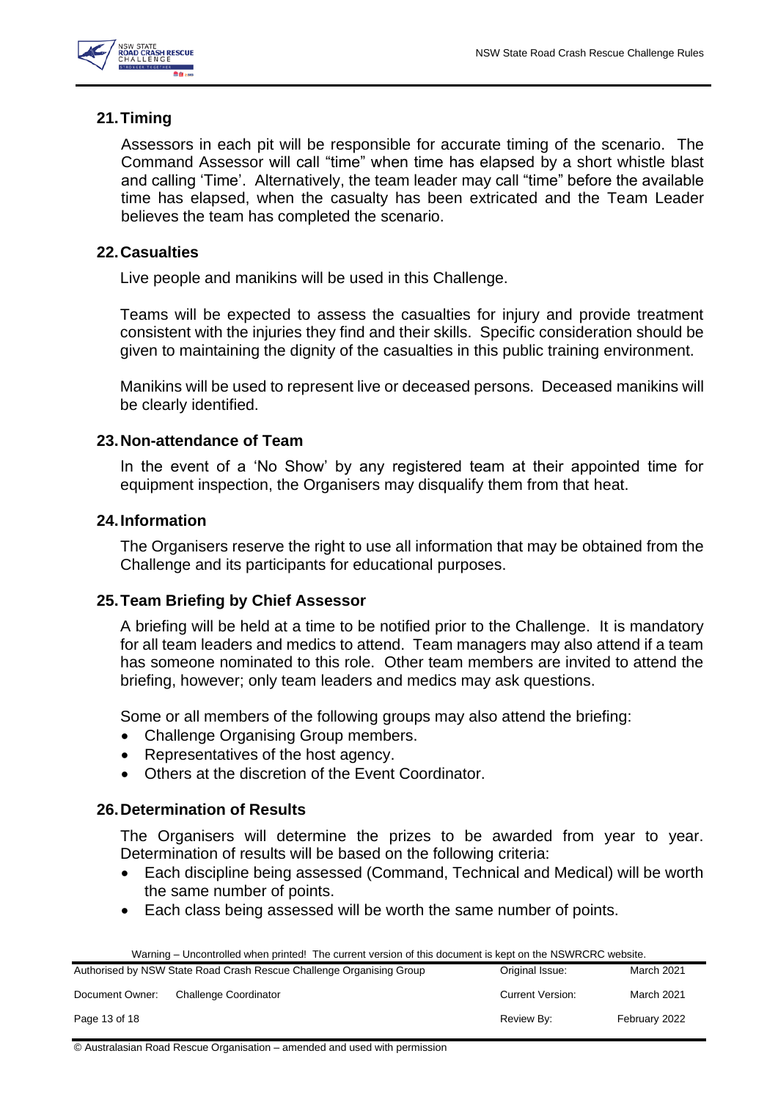

# <span id="page-12-0"></span>**21.Timing**

Assessors in each pit will be responsible for accurate timing of the scenario. The Command Assessor will call "time" when time has elapsed by a short whistle blast and calling 'Time'. Alternatively, the team leader may call "time" before the available time has elapsed, when the casualty has been extricated and the Team Leader believes the team has completed the scenario.

# <span id="page-12-1"></span>**22.Casualties**

Live people and manikins will be used in this Challenge.

Teams will be expected to assess the casualties for injury and provide treatment consistent with the injuries they find and their skills. Specific consideration should be given to maintaining the dignity of the casualties in this public training environment.

Manikins will be used to represent live or deceased persons. Deceased manikins will be clearly identified.

# <span id="page-12-2"></span>**23.Non-attendance of Team**

In the event of a 'No Show' by any registered team at their appointed time for equipment inspection, the Organisers may disqualify them from that heat.

#### <span id="page-12-3"></span>**24.Information**

The Organisers reserve the right to use all information that may be obtained from the Challenge and its participants for educational purposes.

# <span id="page-12-4"></span>**25.Team Briefing by Chief Assessor**

A briefing will be held at a time to be notified prior to the Challenge. It is mandatory for all team leaders and medics to attend. Team managers may also attend if a team has someone nominated to this role. Other team members are invited to attend the briefing, however; only team leaders and medics may ask questions.

Some or all members of the following groups may also attend the briefing:

- Challenge Organising Group members.
- Representatives of the host agency.
- Others at the discretion of the Event Coordinator.

# <span id="page-12-5"></span>**26.Determination of Results**

The Organisers will determine the prizes to be awarded from year to year. Determination of results will be based on the following criteria:

- Each discipline being assessed (Command, Technical and Medical) will be worth the same number of points.
- Each class being assessed will be worth the same number of points.

| Warning – Uncontrolled when printed! The current version of this document is kept on the NSWRCRC website. |                                                                      |                         |               |
|-----------------------------------------------------------------------------------------------------------|----------------------------------------------------------------------|-------------------------|---------------|
|                                                                                                           | Authorised by NSW State Road Crash Rescue Challenge Organising Group | Original Issue:         | March 2021    |
| Document Owner:                                                                                           | Challenge Coordinator                                                | <b>Current Version:</b> | March 2021    |
| Page 13 of 18                                                                                             |                                                                      | Review By:              | February 2022 |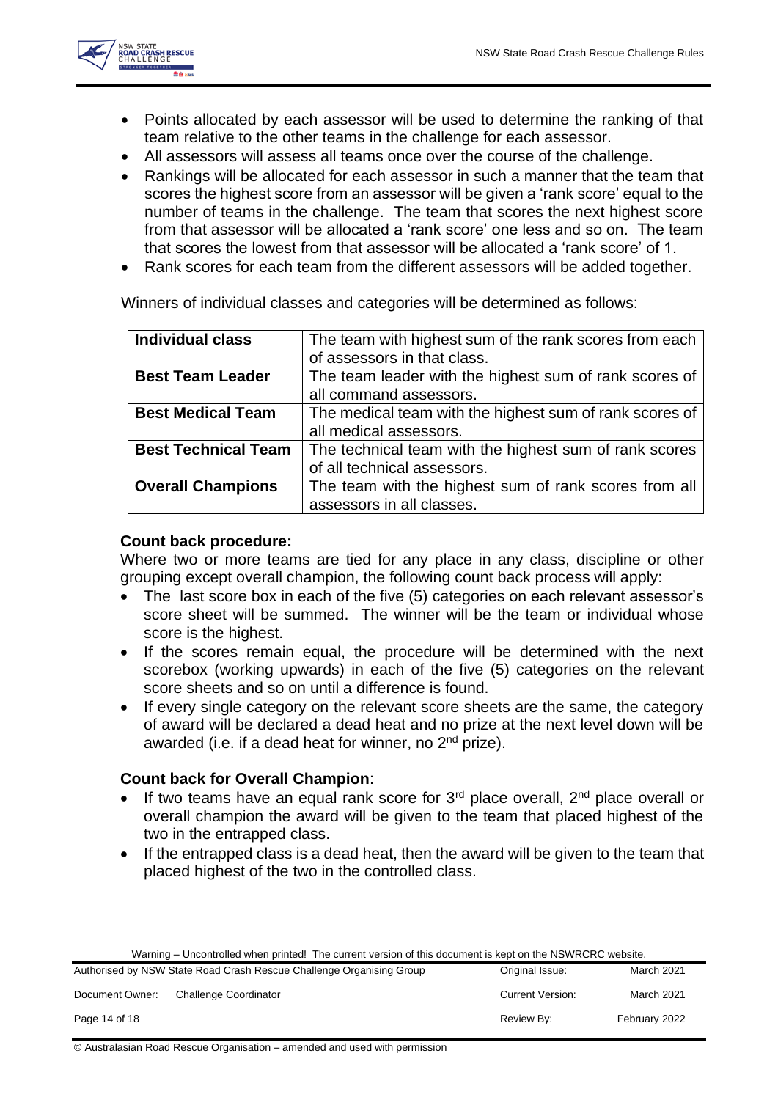

- Points allocated by each assessor will be used to determine the ranking of that team relative to the other teams in the challenge for each assessor.
- All assessors will assess all teams once over the course of the challenge.
- Rankings will be allocated for each assessor in such a manner that the team that scores the highest score from an assessor will be given a 'rank score' equal to the number of teams in the challenge. The team that scores the next highest score from that assessor will be allocated a 'rank score' one less and so on. The team that scores the lowest from that assessor will be allocated a 'rank score' of 1.
- Rank scores for each team from the different assessors will be added together.

Winners of individual classes and categories will be determined as follows:

| <b>Individual class</b>    | The team with highest sum of the rank scores from each  |
|----------------------------|---------------------------------------------------------|
|                            | of assessors in that class.                             |
| <b>Best Team Leader</b>    | The team leader with the highest sum of rank scores of  |
|                            | all command assessors.                                  |
| <b>Best Medical Team</b>   | The medical team with the highest sum of rank scores of |
|                            | all medical assessors.                                  |
| <b>Best Technical Team</b> | The technical team with the highest sum of rank scores  |
|                            | of all technical assessors.                             |
| <b>Overall Champions</b>   | The team with the highest sum of rank scores from all   |
|                            | assessors in all classes.                               |

# **Count back procedure:**

Where two or more teams are tied for any place in any class, discipline or other grouping except overall champion, the following count back process will apply:

- The last score box in each of the five (5) categories on each relevant assessor's score sheet will be summed. The winner will be the team or individual whose score is the highest.
- If the scores remain equal, the procedure will be determined with the next scorebox (working upwards) in each of the five (5) categories on the relevant score sheets and so on until a difference is found.
- If every single category on the relevant score sheets are the same, the category of award will be declared a dead heat and no prize at the next level down will be awarded (i.e. if a dead heat for winner, no 2<sup>nd</sup> prize).

# **Count back for Overall Champion**:

- If two teams have an equal rank score for  $3<sup>rd</sup>$  place overall,  $2<sup>nd</sup>$  place overall or overall champion the award will be given to the team that placed highest of the two in the entrapped class.
- If the entrapped class is a dead heat, then the award will be given to the team that placed highest of the two in the controlled class.

|  | Warning – Uncontrolled when printed! The current version of this document is kept on the NSWRCRC website. |
|--|-----------------------------------------------------------------------------------------------------------|
|--|-----------------------------------------------------------------------------------------------------------|

|                 | Authorised by NSW State Road Crash Rescue Challenge Organising Group | Original Issue:         | March 2021        |
|-----------------|----------------------------------------------------------------------|-------------------------|-------------------|
| Document Owner: | Challenge Coordinator                                                | <b>Current Version:</b> | <b>March 2021</b> |
| Page 14 of 18   |                                                                      | Review By:              | February 2022     |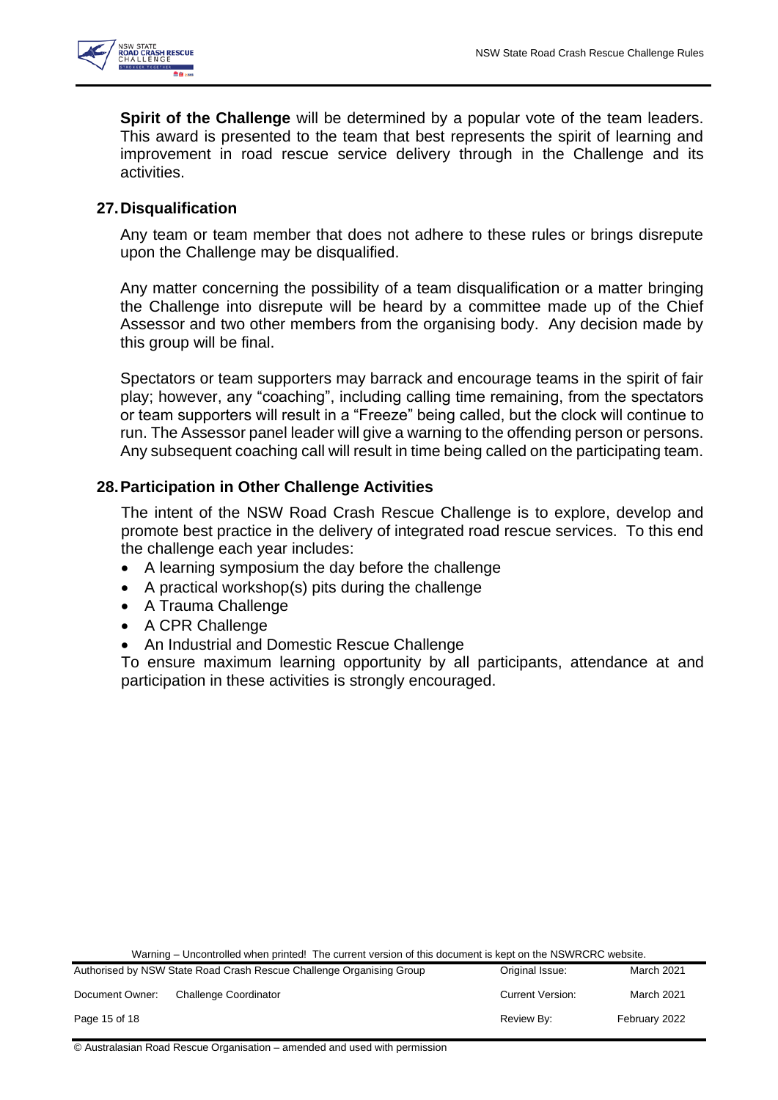

**Spirit of the Challenge** will be determined by a popular vote of the team leaders. This award is presented to the team that best represents the spirit of learning and improvement in road rescue service delivery through in the Challenge and its activities.

# <span id="page-14-0"></span>**27.Disqualification**

Any team or team member that does not adhere to these rules or brings disrepute upon the Challenge may be disqualified.

Any matter concerning the possibility of a team disqualification or a matter bringing the Challenge into disrepute will be heard by a committee made up of the Chief Assessor and two other members from the organising body. Any decision made by this group will be final.

Spectators or team supporters may barrack and encourage teams in the spirit of fair play; however, any "coaching", including calling time remaining, from the spectators or team supporters will result in a "Freeze" being called, but the clock will continue to run. The Assessor panel leader will give a warning to the offending person or persons. Any subsequent coaching call will result in time being called on the participating team.

# <span id="page-14-1"></span>**28.Participation in Other Challenge Activities**

The intent of the NSW Road Crash Rescue Challenge is to explore, develop and promote best practice in the delivery of integrated road rescue services. To this end the challenge each year includes:

- A learning symposium the day before the challenge
- A practical workshop(s) pits during the challenge
- A Trauma Challenge
- A CPR Challenge
- An Industrial and Domestic Rescue Challenge

To ensure maximum learning opportunity by all participants, attendance at and participation in these activities is strongly encouraged.

Warning – Uncontrolled when printed! The current version of this document is kept on the NSWRCRC website.

|                 | Authorised by NSW State Road Crash Rescue Challenge Organising Group | Original Issue:         | March 2021    |
|-----------------|----------------------------------------------------------------------|-------------------------|---------------|
| Document Owner: | <b>Challenge Coordinator</b>                                         | <b>Current Version:</b> | March 2021    |
| Page 15 of 18   |                                                                      | Review By:              | February 2022 |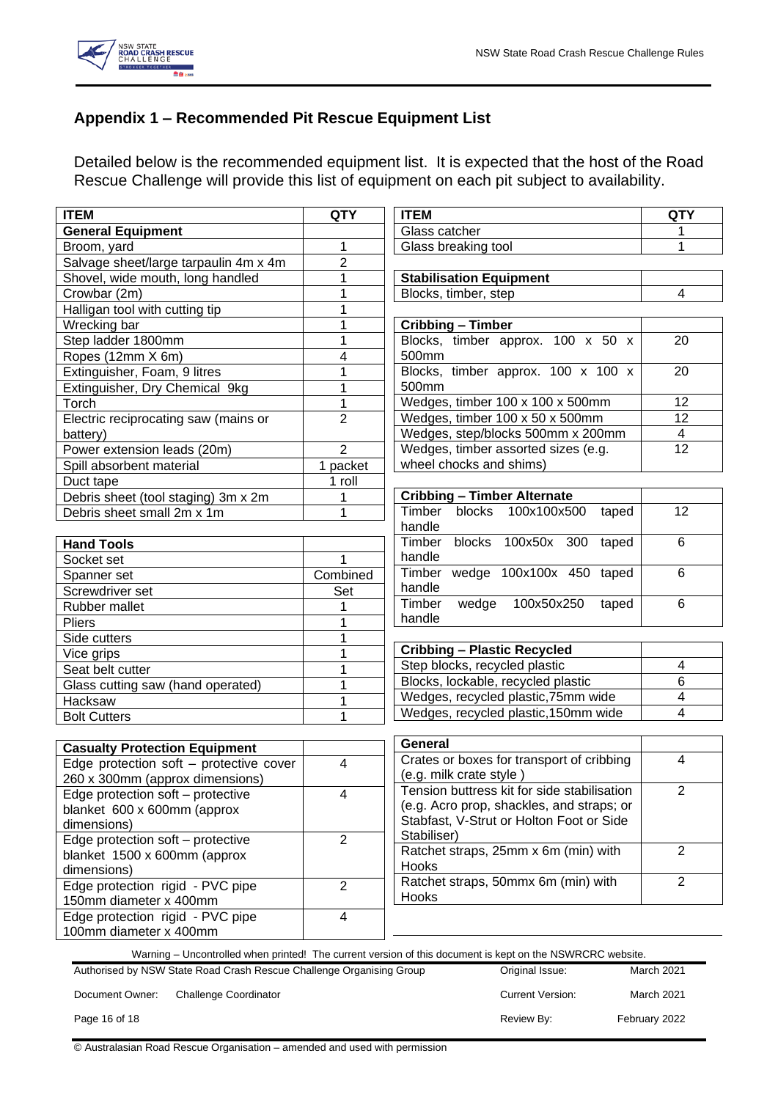

# <span id="page-15-0"></span>**Appendix 1 – Recommended Pit Rescue Equipment List**

Detailed below is the recommended equipment list. It is expected that the host of the Road Rescue Challenge will provide this list of equipment on each pit subject to availability.

| <b>ITEM</b>                                                                                               | <b>QTY</b>              | <b>ITEM</b><br><b>QTY</b>                                              |                |
|-----------------------------------------------------------------------------------------------------------|-------------------------|------------------------------------------------------------------------|----------------|
| <b>General Equipment</b>                                                                                  |                         | Glass catcher                                                          | 1              |
| Broom, yard                                                                                               | 1                       | Glass breaking tool                                                    | 1              |
| Salvage sheet/large tarpaulin 4m x 4m                                                                     | 2                       |                                                                        |                |
| Shovel, wide mouth, long handled                                                                          | 1                       | <b>Stabilisation Equipment</b>                                         |                |
| Crowbar (2m)                                                                                              | 1                       | Blocks, timber, step                                                   | 4              |
| Halligan tool with cutting tip                                                                            | 1                       |                                                                        |                |
| Wrecking bar                                                                                              | 1                       | <b>Cribbing - Timber</b>                                               |                |
| Step ladder 1800mm                                                                                        | 1                       | Blocks, timber approx. 100 x 50 x                                      | 20             |
| Ropes (12mm X 6m)                                                                                         | 4                       | 500mm                                                                  |                |
| Extinguisher, Foam, 9 litres                                                                              | 1                       | Blocks, timber approx. 100 x 100 x                                     | 20             |
| Extinguisher, Dry Chemical 9kg                                                                            | 1                       | 500mm                                                                  |                |
| Torch                                                                                                     | $\mathbf 1$             | Wedges, timber 100 x 100 x 500mm                                       | 12             |
| Electric reciprocating saw (mains or                                                                      | $\overline{2}$          | Wedges, timber 100 x 50 x 500mm                                        | 12             |
| battery)                                                                                                  |                         | Wedges, step/blocks 500mm x 200mm                                      | 4              |
| Power extension leads (20m)                                                                               | $\overline{2}$          | Wedges, timber assorted sizes (e.g.                                    | 12             |
| Spill absorbent material                                                                                  | 1 packet                | wheel chocks and shims)                                                |                |
| Duct tape                                                                                                 | 1 roll                  |                                                                        |                |
| Debris sheet (tool staging) 3m x 2m                                                                       | 1                       | <b>Cribbing - Timber Alternate</b>                                     |                |
| Debris sheet small 2m x 1m                                                                                | 1                       | Timber<br>blocks<br>100x100x500<br>taped                               | 12             |
|                                                                                                           |                         | handle                                                                 |                |
| <b>Hand Tools</b>                                                                                         |                         | Timber blocks 100x50x 300 taped                                        | 6              |
| Socket set                                                                                                |                         | handle                                                                 |                |
| Spanner set                                                                                               | Combined                | Timber wedge 100x100x 450 taped                                        | 6              |
| Screwdriver set                                                                                           | Set                     | handle                                                                 |                |
| Rubber mallet                                                                                             |                         | Timber<br>100x50x250<br>wedge<br>taped                                 | 6              |
| Pliers                                                                                                    |                         | handle                                                                 |                |
| Side cutters                                                                                              |                         |                                                                        |                |
| Vice grips                                                                                                |                         | <b>Cribbing - Plastic Recycled</b>                                     |                |
| Seat belt cutter                                                                                          | 1                       | Step blocks, recycled plastic                                          | 4<br>6         |
| Glass cutting saw (hand operated)                                                                         | 1                       | Blocks, lockable, recycled plastic                                     |                |
| Hacksaw                                                                                                   | 1                       | Wedges, recycled plastic, 75mm wide                                    |                |
| <b>Bolt Cutters</b>                                                                                       | 1                       | $\overline{\mathbf{4}}$<br>Wedges, recycled plastic, 150mm wide        |                |
|                                                                                                           |                         |                                                                        |                |
| <b>Casualty Protection Equipment</b>                                                                      |                         | General                                                                |                |
| Edge protection soft - protective cover                                                                   | $\overline{4}$          | Crates or boxes for transport of cribbing                              | $\overline{4}$ |
| 260 x 300mm (approx dimensions)                                                                           |                         | (e.g. milk crate style)<br>Tension buttress kit for side stabilisation | $\overline{2}$ |
| Edge protection soft - protective                                                                         | 4                       | (e.g. Acro prop, shackles, and straps; or                              |                |
| blanket 600 x 600mm (approx                                                                               |                         | Stabfast, V-Strut or Holton Foot or Side                               |                |
| dimensions)                                                                                               |                         | Stabiliser)                                                            |                |
| Edge protection soft - protective                                                                         | $\overline{2}$          | Ratchet straps, 25mm x 6m (min) with                                   | $\overline{2}$ |
| blanket 1500 x 600mm (approx                                                                              |                         | Hooks                                                                  |                |
| dimensions)                                                                                               |                         | Ratchet straps, 50mmx 6m (min) with                                    | $\overline{2}$ |
| Edge protection rigid - PVC pipe                                                                          | $\overline{c}$          | Hooks                                                                  |                |
| 150mm diameter x 400mm                                                                                    |                         |                                                                        |                |
| Edge protection rigid - PVC pipe                                                                          | $\overline{\mathbf{4}}$ |                                                                        |                |
| 100mm diameter x 400mm                                                                                    |                         |                                                                        |                |
| Warning - Uncontrolled when printed! The current version of this document is kept on the NSWRCRC website. |                         |                                                                        |                |
| Authorised by NSW State Road Crash Rescue Challenge Organising Group                                      |                         | Original Issue:                                                        | March 2021     |
| Document Owner:<br><b>Challenge Coordinator</b>                                                           |                         | <b>Current Version:</b>                                                | March 2021     |
| Page 16 of 18                                                                                             |                         | Review By:                                                             | February 2022  |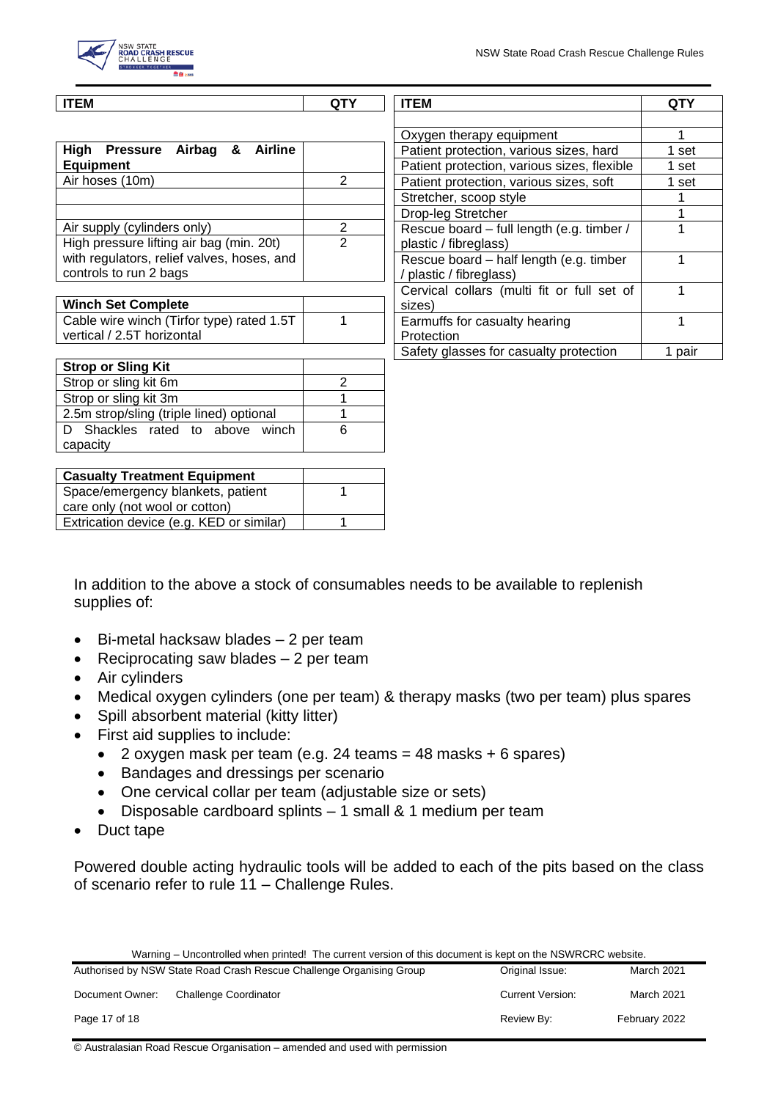

| <b>ITEM</b>                                           | QTY            | <b>ITEM</b>                                 | QTY    |
|-------------------------------------------------------|----------------|---------------------------------------------|--------|
|                                                       |                |                                             |        |
|                                                       |                | Oxygen therapy equipment                    |        |
| Airbag &<br>High<br><b>Pressure</b><br><b>Airline</b> |                | Patient protection, various sizes, hard     | 1 set  |
| <b>Equipment</b>                                      |                | Patient protection, various sizes, flexible | 1 set  |
| Air hoses (10m)                                       | $\overline{2}$ | Patient protection, various sizes, soft     | 1 set  |
|                                                       |                | Stretcher, scoop style                      |        |
|                                                       |                | Drop-leg Stretcher                          |        |
| Air supply (cylinders only)                           | $\overline{2}$ | Rescue board - full length (e.g. timber /   |        |
| High pressure lifting air bag (min. 20t)              | $\overline{2}$ | plastic / fibreglass)                       |        |
| with regulators, relief valves, hoses, and            |                | Rescue board – half length (e.g. timber     |        |
| controls to run 2 bags                                |                | plastic / fibreglass)                       |        |
|                                                       |                | Cervical collars (multi fit or full set of  |        |
| <b>Winch Set Complete</b>                             |                | sizes)                                      |        |
| Cable wire winch (Tirfor type) rated 1.5T             |                | Earmuffs for casualty hearing               |        |
| vertical / 2.5T horizontal                            |                | Protection                                  |        |
|                                                       |                | Safety glasses for casualty protection      | 1 pair |
| <b>Strop or Sling Kit</b>                             |                |                                             |        |
| Strop or sling kit 6m                                 | 2              |                                             |        |
| Strop or sling kit 3m                                 |                |                                             |        |
| 2.5m strop/sling (triple lined) optional              |                |                                             |        |

| <b>Casualty Treatment Equipment</b>      |  |
|------------------------------------------|--|
| Space/emergency blankets, patient        |  |
| care only (not wool or cotton)           |  |
| Extrication device (e.g. KED or similar) |  |

D Shackles rated to above winch

In addition to the above a stock of consumables needs to be available to replenish supplies of:

6

- Bi-metal hacksaw blades 2 per team
- Reciprocating saw blades 2 per team
- Air cylinders

capacity

- Medical oxygen cylinders (one per team) & therapy masks (two per team) plus spares
- Spill absorbent material (kitty litter)
- First aid supplies to include:
	- 2 oxygen mask per team (e.g. 24 teams  $=$  48 masks  $+$  6 spares)
	- Bandages and dressings per scenario
	- One cervical collar per team (adjustable size or sets)
	- Disposable cardboard splints 1 small & 1 medium per team
- Duct tape

Powered double acting hydraulic tools will be added to each of the pits based on the class of scenario refer to rule 11 – Challenge Rules.

| Authorised by NSW State Road Crash Rescue Challenge Organising Group |                       | Original Issue:         | March 2021    |
|----------------------------------------------------------------------|-----------------------|-------------------------|---------------|
| Document Owner:                                                      | Challenge Coordinator | <b>Current Version:</b> | March 2021    |
| Page 17 of 18                                                        |                       | Review By:              | February 2022 |